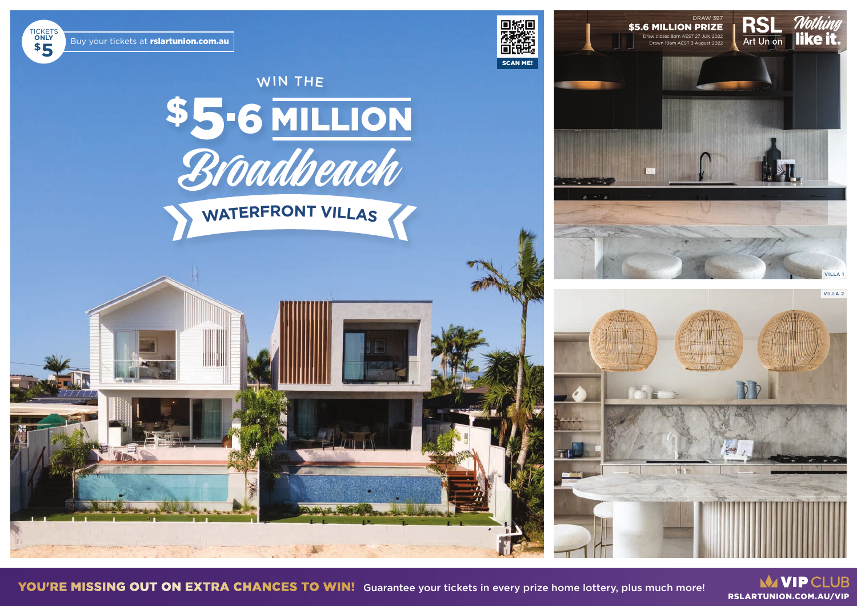# WIN THE \$5-6 MILLION<br>Broadbeach

WATERFRONT VILLAS

**MANIP CLUB** RSLARTUNION.COM.AU/VIP